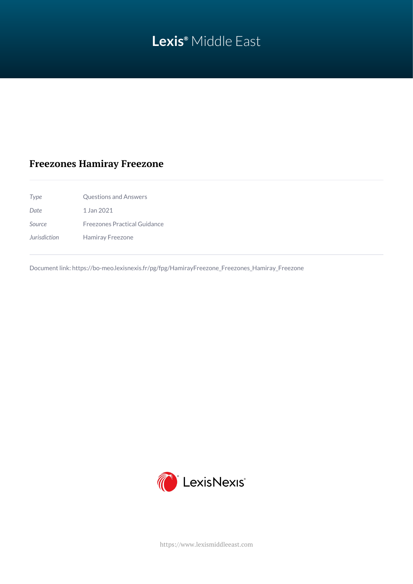# **Lexis®** Middle East

# **Freezones Hamiray Freezone**

| Type         | Questions and Answers               |
|--------------|-------------------------------------|
| Date         | 1 Jan 2021                          |
| Source       | <b>Freezones Practical Guidance</b> |
| Jurisdiction | Hamiray Freezone                    |
|              |                                     |

Document link: [https://bo-meo.lexisnexis.fr/pg/fpg/HamirayFreezone\\_Freezones\\_Hamiray\\_Freezone](https://bo-meo.lexisnexis.fr/pg/fpg/HamirayFreezone_Freezones_Hamiray_Freezone)



<https://www.lexismiddleeast.com>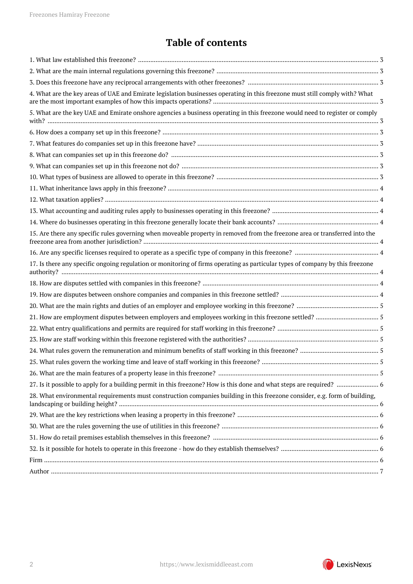# **Table of contents**

| 4. What are the key areas of UAE and Emirate legislation businesses operating in this freezone must still comply with? What   |  |
|-------------------------------------------------------------------------------------------------------------------------------|--|
| 5. What are the key UAE and Emirate onshore agencies a business operating in this freezone would need to register or comply   |  |
|                                                                                                                               |  |
|                                                                                                                               |  |
|                                                                                                                               |  |
|                                                                                                                               |  |
|                                                                                                                               |  |
|                                                                                                                               |  |
|                                                                                                                               |  |
|                                                                                                                               |  |
|                                                                                                                               |  |
|                                                                                                                               |  |
| 15. Are there any specific rules governing when moveable property in removed from the freezone area or transferred into the   |  |
|                                                                                                                               |  |
| 17. Is there any specific ongoing regulation or monitoring of firms operating as particular types of company by this freezone |  |
|                                                                                                                               |  |
|                                                                                                                               |  |
|                                                                                                                               |  |
|                                                                                                                               |  |
|                                                                                                                               |  |
|                                                                                                                               |  |
|                                                                                                                               |  |
|                                                                                                                               |  |
|                                                                                                                               |  |
|                                                                                                                               |  |
| 28. What environmental requirements must construction companies building in this freezone consider, e.g. form of building,    |  |
|                                                                                                                               |  |
|                                                                                                                               |  |
|                                                                                                                               |  |
|                                                                                                                               |  |
|                                                                                                                               |  |
|                                                                                                                               |  |
|                                                                                                                               |  |

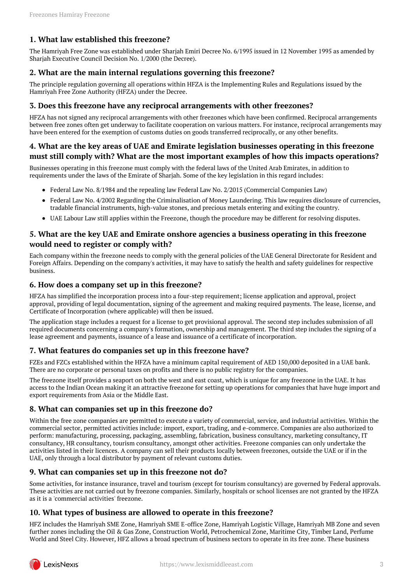# <span id="page-2-0"></span>**1. What law established this freezone?**

The Hamriyah Free Zone was established under Sharjah Emiri Decree No. 6/1995 issued in 12 November 1995 as amended by Shariah Executive Council Decision No. 1/2000 (the Decree).

#### <span id="page-2-1"></span>**2. What are the main internal regulations governing this freezone?**

The principle regulation governing all operations within HFZA is the Implementing Rules and Regulations issued by the Hamriyah Free Zone Authority (HFZA) under the Decree.

#### <span id="page-2-2"></span>**3. Does this freezone have any reciprocal arrangements with other freezones?**

HFZA has not signed any reciprocal arrangements with other freezones which have been confirmed. Reciprocal arrangements between free zones often get underway to facilitate cooperation on various matters. For instance, reciprocal arrangements may have been entered for the exemption of customs duties on goods transferred reciprocally, or any other benefits.

#### <span id="page-2-3"></span>**4. What are the key areas of UAE and Emirate legislation businesses operating in this freezone must still comply with? What are the most important examples of how this impacts operations?**

Businesses operating in this freezone must comply with the federal laws of the United Arab Emirates, in addition to requirements under the laws of the Emirate of Sharjah. Some of the key legislation in this regard includes:

- Federal Law No. 8/1984 and the repealing law Federal Law No. 2/2015 (Commercial Companies Law)
- Federal Law No. 4/2002 Regarding the Criminalisation of Money Laundering. This law requires disclosure of currencies, tradable financial instruments, high-value stones, and precious metals entering and exiting the country.
- UAE Labour Law still applies within the Freezone, though the procedure may be different for resolving disputes.

#### <span id="page-2-4"></span>**5. What are the key UAE and Emirate onshore agencies a business operating in this freezone would need to register or comply with?**

Each company within the freezone needs to comply with the general policies of the UAE General Directorate for Resident and Foreign Affairs. Depending on the company's activities, it may have to satisfy the health and safety guidelines for respective business.

#### <span id="page-2-5"></span>**6. How does a company set up in this freezone?**

HFZA has simplified the incorporation process into a four-step requirement; license application and approval, project approval, providing of legal documentation, signing of the agreement and making required payments. The lease, license, and Certificate of Incorporation (where applicable) will then be issued.

The application stage includes a request for a license to get provisional approval. The second step includes submission of all required documents concerning a company's formation, ownership and management. The third step includes the signing of a lease agreement and payments, issuance of a lease and issuance of a certificate of incorporation.

#### <span id="page-2-6"></span>**7. What features do companies set up in this freezone have?**

FZEs and FZCs established within the HFZA have a minimum capital requirement of AED 150,000 deposited in a UAE bank. There are no corporate or personal taxes on profits and there is no public registry for the companies.

The freezone itself provides a seaport on both the west and east coast, which is unique for any freezone in the UAE. It has access to the Indian Ocean making it an attractive freezone for setting up operations for companies that have huge import and export requirements from Asia or the Middle East.

#### <span id="page-2-7"></span>**8. What can companies set up in this freezone do?**

Within the free zone companies are permitted to execute a variety of commercial, service, and industrial activities. Within the commercial sector, permitted activities include: import, export, trading, and e-commerce. Companies are also authorized to perform: manufacturing, processing, packaging, assembling, fabrication, business consultancy, marketing consultancy, IT consultancy, HR consultancy, tourism consultancy, amongst other activities. Freezone companies can only undertake the activities listed in their licences. A company can sell their products locally between freezones, outside the UAE or if in the UAE, only through a local distributor by payment of relevant customs duties.

#### <span id="page-2-8"></span>**9. What can companies set up in this freezone not do?**

Some activities, for instance insurance, travel and tourism (except for tourism consultancy) are governed by Federal approvals. These activities are not carried out by freezone companies. Similarly, hospitals or school licenses are not granted by the HFZA as it is a 'commercial activities' freezone.

#### <span id="page-2-9"></span>**10. What types of business are allowed to operate in this freezone?**

HFZ includes the Hamriyah SME Zone, Hamriyah SME E-office Zone, Hamriyah Logistic Village, Hamriyah MB Zone and seven further zones including the Oil & Gas Zone, Construction World, Petrochemical Zone, Maritime City, Timber Land, Perfume World and Steel City. However, HFZ allows a broad spectrum of business sectors to operate in its free zone. These business

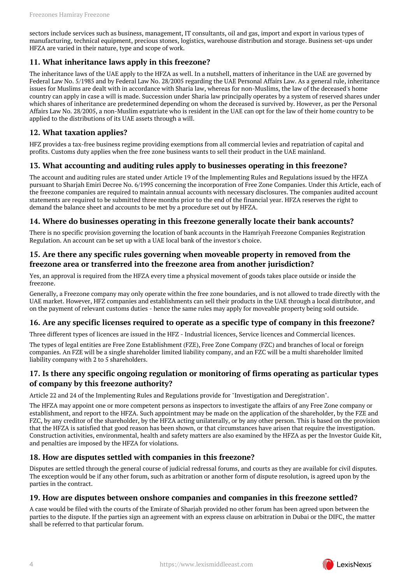sectors include services such as business, management, IT consultants, oil and gas, import and export in various types of manufacturing, technical equipment, precious stones, logistics, warehouse distribution and storage. Business set-ups under HFZA are varied in their nature, type and scope of work.

# <span id="page-3-0"></span>**11. What inheritance laws apply in this freezone?**

The inheritance laws of the UAE apply to the HFZA as well. In a nutshell, matters of inheritance in the UAE are governed by Federal Law No. 5/1985 and by Federal Law No. 28/2005 regarding the UAE Personal Affairs Law. As a general rule, inheritance issues for Muslims are dealt with in accordance with Sharia law, whereas for non-Muslims, the law of the deceased's home country can apply in case a will is made. Succession under Sharia law principally operates by a system of reserved shares under which shares of inheritance are predetermined depending on whom the deceased is survived by. However, as per the Personal Affairs Law No. 28/2005, a non-Muslim expatriate who is resident in the UAE can opt for the law of their home country to be applied to the distributions of its UAE assets through a will.

# <span id="page-3-1"></span>**12. What taxation applies?**

HFZ provides a tax-free business regime providing exemptions from all commercial levies and repatriation of capital and profits. Customs duty applies when the free zone business wants to sell their product in the UAE mainland.

# <span id="page-3-2"></span>**13. What accounting and auditing rules apply to businesses operating in this freezone?**

The account and auditing rules are stated under Article 19 of the Implementing Rules and Regulations issued by the HFZA pursuant to Sharjah Emiri Decree No. 6/1995 concerning the incorporation of Free Zone Companies. Under this Article, each of the freezone companies are required to maintain annual accounts with necessary disclosures. The companies audited account statements are required to be submitted three months prior to the end of the financial year. HFZA reserves the right to demand the balance sheet and accounts to be met by a procedure set out by HFZA.

#### <span id="page-3-3"></span>**14. Where do businesses operating in this freezone generally locate their bank accounts?**

There is no specific provision governing the location of bank accounts in the Hamriyah Freezone Companies Registration Regulation. An account can be set up with a UAE local bank of the investor's choice.

# <span id="page-3-4"></span>**15. Are there any specific rules governing when moveable property in removed from the freezone area or transferred into the freezone area from another jurisdiction?**

Yes, an approval is required from the HFZA every time a physical movement of goods takes place outside or inside the freezone.

Generally, a Freezone company may only operate within the free zone boundaries, and is not allowed to trade directly with the UAE market. However, HFZ companies and establishments can sell their products in the UAE through a local distributor, and on the payment of relevant customs duties - hence the same rules may apply for moveable property being sold outside.

# <span id="page-3-5"></span>**16. Are any specific licenses required to operate as a specific type of company in this freezone?**

Three different types of licences are issued in the HFZ - Industrial licences, Service licences and Commercial licences.

The types of legal entities are Free Zone Establishment (FZE), Free Zone Company (FZC) and branches of local or foreign companies. An FZE will be a single shareholder limited liability company, and an FZC will be a multi shareholder limited liability company with 2 to 5 shareholders.

# <span id="page-3-6"></span>**17. Is there any specific ongoing regulation or monitoring of firms operating as particular types of company by this freezone authority?**

Article 22 and 24 of the Implementing Rules and Regulations provide for "Investigation and Deregistration".

The HFZA may appoint one or more competent persons as inspectors to investigate the affairs of any Free Zone company or establishment, and report to the HFZA. Such appointment may be made on the application of the shareholder, by the FZE and FZC, by any creditor of the shareholder, by the HFZA acting unilaterally, or by any other person. This is based on the provision that the HFZA is satisfied that good reason has been shown, or that circumstances have arisen that require the investigation. Construction activities, environmental, health and safety matters are also examined by the HFZA as per the Investor Guide Kit, and penalties are imposed by the HFZA for violations.

# <span id="page-3-7"></span>**18. How are disputes settled with companies in this freezone?**

Disputes are settled through the general course of judicial redressal forums, and courts as they are available for civil disputes. The exception would be if any other forum, such as arbitration or another form of dispute resolution, is agreed upon by the parties in the contract.

#### <span id="page-3-8"></span>**19. How are disputes between onshore companies and companies in this freezone settled?**

A case would be filed with the courts of the Emirate of Sharjah provided no other forum has been agreed upon between the parties to the dispute. If the parties sign an agreement with an express clause on arbitration in Dubai or the DIFC, the matter shall be referred to that particular forum.

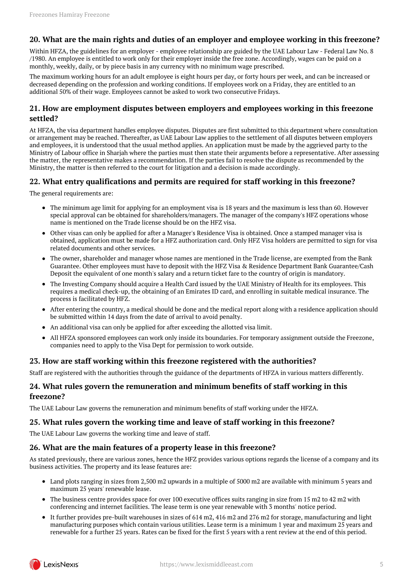# <span id="page-4-0"></span>**20. What are the main rights and duties of an employer and employee working in this freezone?**

Within HFZA, the guidelines for an employer - employee relationship are guided by the UAE Labour Law - Federal Law No. 8 /1980. An employee is entitled to work only for their employer inside the free zone. Accordingly, wages can be paid on a monthly, weekly, daily, or by piece basis in any currency with no minimum wage prescribed.

The maximum working hours for an adult employee is eight hours per day, or forty hours per week, and can be increased or decreased depending on the profession and working conditions. If employees work on a Friday, they are entitled to an additional 50% of their wage. Employees cannot be asked to work two consecutive Fridays.

#### <span id="page-4-1"></span>**21. How are employment disputes between employers and employees working in this freezone settled?**

At HFZA, the visa department handles employee disputes. Disputes are first submitted to this department where consultation or arrangement may be reached. Thereafter, as UAE Labour Law applies to the settlement of all disputes between employers and employees, it is understood that the usual method applies. An application must be made by the aggrieved party to the Ministry of Labour office in Sharjah where the parties must then state their arguments before a representative. After assessing the matter, the representative makes a recommendation. If the parties fail to resolve the dispute as recommended by the Ministry, the matter is then referred to the court for litigation and a decision is made accordingly.

#### <span id="page-4-2"></span>**22. What entry qualifications and permits are required for staff working in this freezone?**

The general requirements are:

- The minimum age limit for applying for an employment visa is 18 years and the maximum is less than 60. However special approval can be obtained for shareholders/managers. The manager of the company's HFZ operations whose name is mentioned on the Trade license should be on the HFZ visa.
- Other visas can only be applied for after a Manager's Residence Visa is obtained. Once a stamped manager visa is obtained, application must be made for a HFZ authorization card. Only HFZ Visa holders are permitted to sign for visa related documents and other services.
- The owner, shareholder and manager whose names are mentioned in the Trade license, are exempted from the Bank Guarantee. Other employees must have to deposit with the HFZ Visa & Residence Department Bank Guarantee/Cash Deposit the equivalent of one month's salary and a return ticket fare to the country of origin is mandatory.
- The Investing Company should acquire a Health Card issued by the UAE Ministry of Health for its employees. This requires a medical check-up, the obtaining of an Emirates ID card, and enrolling in suitable medical insurance. The process is facilitated by HFZ.
- After entering the country, a medical should be done and the medical report along with a residence application should be submitted within 14 days from the date of arrival to avoid penalty.
- An additional visa can only be applied for after exceeding the allotted visa limit.
- All HFZA sponsored employees can work only inside its boundaries. For temporary assignment outside the Freezone,  $\bullet$ companies need to apply to the Visa Dept for permission to work outside.

# <span id="page-4-3"></span>**23. How are staff working within this freezone registered with the authorities?**

Staff are registered with the authorities through the guidance of the departments of HFZA in various matters differently.

#### <span id="page-4-4"></span>**24. What rules govern the remuneration and minimum benefits of staff working in this freezone?**

The UAE Labour Law governs the remuneration and minimum benefits of staff working under the HFZA.

# <span id="page-4-5"></span>**25. What rules govern the working time and leave of staff working in this freezone?**

The UAE Labour Law governs the working time and leave of staff.

#### <span id="page-4-6"></span>**26. What are the main features of a property lease in this freezone?**

As stated previously, there are various zones, hence the HFZ provides various options regards the license of a company and its business activities. The property and its lease features are:

- Land plots ranging in sizes from 2,500 m2 upwards in a multiple of 5000 m2 are available with minimum 5 years and maximum 25 years' renewable lease.
- The business centre provides space for over 100 executive offices suits ranging in size from 15 m2 to 42 m2 with conferencing and internet facilities. The lease term is one year renewable with 3 months' notice period.
- It further provides pre-built warehouses in sizes of 614 m2, 416 m2 and 276 m2 for storage, manufacturing and light manufacturing purposes which contain various utilities. Lease term is a minimum 1 year and maximum 25 years and renewable for a further 25 years. Rates can be fixed for the first 5 years with a rent review at the end of this period.

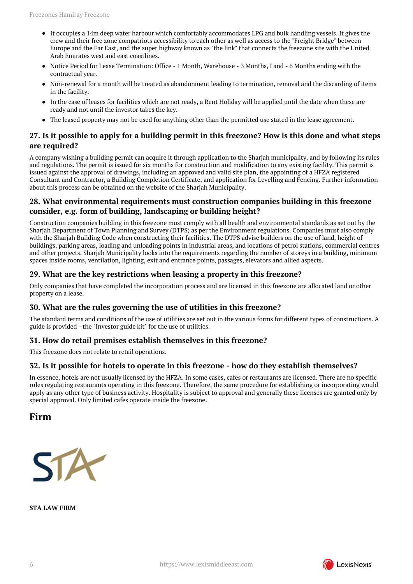- It occupies a 14m deep water harbour which comfortably accommodates LPG and bulk handling vessels. It gives the crew and their free zone compatriots accessibility to each other as well as access to the "Freight Bridge" between Europe and the Far East, and the super highway known as "the link" that connects the freezone site with the United Arab Emirates west and east coastlines.
- Notice Period for Lease Termination: Office 1 Month, Warehouse 3 Months, Land 6 Months ending with the contractual year.
- Non-renewal for a month will be treated as abandonment leading to termination, removal and the discarding of items in the facility.
- In the case of leases for facilities which are not ready, a Rent Holiday will be applied until the date when these are ready and not until the investor takes the key.
- The leased property may not be used for anything other than the permitted use stated in the lease agreement.

# <span id="page-5-0"></span>**27. Is it possible to apply for a building permit in this freezone? How is this done and what steps are required?**

A company wishing a building permit can acquire it through application to the Sharjah municipality, and by following its rules and regulations. The permit is issued for six months for construction and modification to any existing facility. This permit is issued against the approval of drawings, including an approved and valid site plan, the appointing of a HFZA registered Consultant and Contractor, a Building Completion Certificate, and application for Levelling and Fencing. Further information about this process can be obtained on the website of the Sharjah Municipality.

# <span id="page-5-1"></span>**28. What environmental requirements must construction companies building in this freezone consider, e.g. form of building, landscaping or building height?**

Construction companies building in this freezone must comply with all health and environmental standards as set out by the Sharjah Department of Town Planning and Survey (DTPS) as per the Environment regulations. Companies must also comply with the Sharjah Building Code when constructing their facilities. The DTPS advise builders on the use of land, height of buildings, parking areas, loading and unloading points in industrial areas, and locations of petrol stations, commercial centres and other projects. Sharjah Municipality looks into the requirements regarding the number of storeys in a building, minimum spaces inside rooms, ventilation, lighting, exit and entrance points, passages, elevators and allied aspects.

# <span id="page-5-2"></span>**29. What are the key restrictions when leasing a property in this freezone?**

Only companies that have completed the incorporation process and are licensed in this freezone are allocated land or other property on a lease.

# <span id="page-5-3"></span>**30. What are the rules governing the use of utilities in this freezone?**

The standard terms and conditions of the use of utilities are set out in the various forms for different types of constructions. A guide is provided - the "Investor guide kit" for the use of utilities.

#### <span id="page-5-4"></span>**31. How do retail premises establish themselves in this freezone?**

This freezone does not relate to retail operations.

#### <span id="page-5-5"></span>**32. Is it possible for hotels to operate in this freezone - how do they establish themselves?**

In essence, hotels are not usually licensed by the HFZA. In some cases, cafes or restaurants are licensed. There are no specific rules regulating restaurants operating in this freezone. Therefore, the same procedure for establishing or incorporating would apply as any other type of business activity. Hospitality is subject to approval and generally these licenses are granted only by special approval. Only limited cafes operate inside the freezone.

<span id="page-5-6"></span>**Firm**



**STA LAW FIRM**